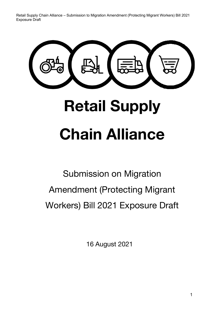# **Retail Supply Chain Alliance**

Submission on Migration Amendment (Protecting Migrant Workers) Bill 2021 Exposure Draft

16 August 2021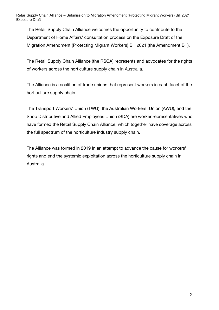The Retail Supply Chain Alliance welcomes the opportunity to contribute to the Department of Home Affairs' consultation process on the Exposure Draft of the Migration Amendment (Protecting Migrant Workers) Bill 2021 (the Amendment Bill).

The Retail Supply Chain Alliance (the RSCA) represents and advocates for the rights of workers across the horticulture supply chain in Australia.

The Alliance is a coalition of trade unions that represent workers in each facet of the horticulture supply chain.

The Transport Workers' Union (TWU), the Australian Workers' Union (AWU), and the Shop Distributive and Allied Employees Union (SDA) are worker representatives who have formed the Retail Supply Chain Alliance, which together have coverage across the full spectrum of the horticulture industry supply chain.

The Alliance was formed in 2019 in an attempt to advance the cause for workers' rights and end the systemic exploitation across the horticulture supply chain in Australia.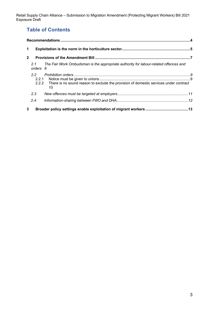# **Table of Contents**

| $\mathbf 1$  |                 |                                                                                                   |  |
|--------------|-----------------|---------------------------------------------------------------------------------------------------|--|
| $\mathbf{2}$ |                 |                                                                                                   |  |
|              | 2.1<br>orders 8 | The Fair Work Ombudsman is the appropriate authority for labour-related offences and              |  |
|              | $2.2^{\circ}$   | 2.2.2 There is no sound reason to exclude the provision of domestic services under contract<br>10 |  |
|              | 2.3             |                                                                                                   |  |
|              | 2.4             |                                                                                                   |  |
| 3            |                 |                                                                                                   |  |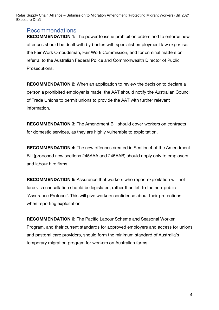## Recommendations

**RECOMMENDATION 1:** The power to issue prohibition orders and to enforce new offences should be dealt with by bodies with specialist employment law expertise: the Fair Work Ombudsman, Fair Work Commission, and for criminal matters on referral to the Australian Federal Police and Commonwealth Director of Public Prosecutions.

**RECOMMENDATION 2:** When an application to review the decision to declare a person a prohibited employer is made, the AAT should notify the Australian Council of Trade Unions to permit unions to provide the AAT with further relevant information.

**RECOMMENDATION 3:** The Amendment Bill should cover workers on contracts for domestic services, as they are highly vulnerable to exploitation.

**RECOMMENDATION 4:** The new offences created in Section 4 of the Amendment Bill (proposed new sections 245AAA and 245AAB) should apply only to employers and labour hire firms.

**RECOMMENDATION 5:** Assurance that workers who report exploitation will not face visa cancellation should be legislated, rather than left to the non-public 'Assurance Protocol'. This will give workers confidence about their protections when reporting exploitation.

**RECOMMENDATION 6:** The Pacific Labour Scheme and Seasonal Worker Program, and their current standards for approved employers and access for unions and pastoral care providers, should form the minimum standard of Australia's temporary migration program for workers on Australian farms.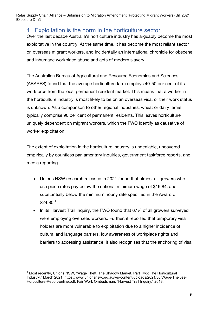# 1 Exploitation is the norm in the horticulture sector

Over the last decade Australia's horticulture industry has arguably become the most exploitative in the country. At the same time, it has become the most reliant sector on overseas migrant workers, and incidentally an international chronicle for obscene and inhumane workplace abuse and acts of modern slavery.

The Australian Bureau of Agricultural and Resource Economics and Sciences (ABARES) found that the average horticulture farm employs 40-50 per cent of its workforce from the local permanent resident market. This means that a worker in the horticulture industry is most likely to be on an overseas visa, or their work status is unknown. As a comparison to other regional industries, wheat or dairy farms typically comprise 90 per cent of permanent residents. This leaves horticulture uniquely dependent on migrant workers, which the FWO identify as causative of worker exploitation.

The extent of exploitation in the horticulture industry is undeniable, uncovered empirically by countless parliamentary inquiries, government taskforce reports, and media reporting.

- Unions NSW research released in 2021 found that almost all growers who use piece rates pay below the national minimum wage of \$19.84, and substantially below the minimum hourly rate specified in the Award of \$24.80.1
- In its Harvest Trail Inquiry, the FWO found that 67% of all growers surveyed were employing overseas workers. Further, it reported that temporary visa holders are more vulnerable to exploitation due to a higher incidence of cultural and language barriers, low awareness of workplace rights and barriers to accessing assistance. It also recognises that the anchoring of visa

<sup>&</sup>lt;sup>1</sup> Most recently, Unions NSW, "Wage Theft, The Shadow Market. Part Two: The Horticultural Industry," March 2021, https://www.unionsnsw.org.au/wp-content/uploads/2021/03/Wage-Theives-Horticulture-Report-online.pdf; Fair Work Ombudsman, "Harvest Trail Inquiry," 2018.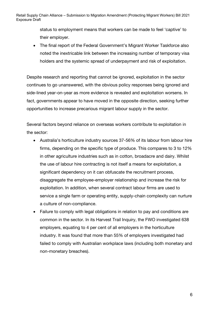> status to employment means that workers can be made to feel 'captive' to their employer.

• The final report of the Federal Government's Migrant Worker Taskforce also noted the inextricable link between the increasing number of temporary visa holders and the systemic spread of underpayment and risk of exploitation.

Despite research and reporting that cannot be ignored, exploitation in the sector continues to go unanswered, with the obvious policy responses being ignored and side-lined year-on-year as more evidence is revealed and exploitation worsens. In fact, governments appear to have moved in the opposite direction, seeking further opportunities to increase precarious migrant labour supply in the sector.

Several factors beyond reliance on overseas workers contribute to exploitation in the sector:

- Australia's horticulture industry sources 37-56% of its labour from labour hire firms, depending on the specific type of produce. This compares to 3 to 12% in other agriculture industries such as in cotton, broadacre and dairy. Whilst the use of labour hire contracting is not itself a means for exploitation, a significant dependency on it can obfuscate the recruitment process, disaggregate the employee-employer relationship and increase the risk for exploitation. In addition, when several contract labour firms are used to service a single farm or operating entity, supply-chain complexity can nurture a culture of non-compliance.
- Failure to comply with legal obligations in relation to pay and conditions are common in the sector. In its Harvest Trail Inquiry, the FWO investigated 638 employers, equating to 4 per cent of all employers in the horticulture industry. It was found that more than 55% of employers investigated had failed to comply with Australian workplace laws (including both monetary and non-monetary breaches).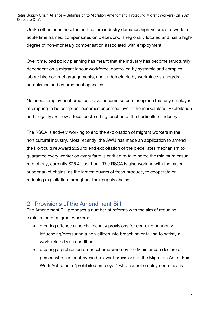Unlike other industries, the horticulture industry demands high-volumes of work in acute time frames, compensates on piecework, is regionally located and has a highdegree of non-monetary compensation associated with employment.

Over time, bad policy planning has meant that the industry has become structurally dependent on a migrant labour workforce, controlled by systemic and complex labour hire contract arrangements, and undetectable by workplace standards compliance and enforcement agencies.

Nefarious employment practices have become so commonplace that any employer attempting to be compliant becomes uncompetitive in the marketplace. Exploitation and illegality are now a focal cost-setting function of the horticulture industry.

The RSCA is actively working to end the exploitation of migrant workers in the horticultural industry. Most recently, the AWU has made an application to amend the Horticulture Award 2020 to end exploitation of the piece rates mechanism to guarantee every worker on every farm is entitled to take home the minimum casual rate of pay, currently \$25.41 per hour. The RSCA is also working with the major supermarket chains, as the largest buyers of fresh produce, to cooperate on reducing exploitation throughout their supply chains.

## 2 Provisions of the Amendment Bill

The Amendment Bill proposes a number of reforms with the aim of reducing exploitation of migrant workers:

- creating offences and civil penalty provisions for coercing or unduly influencing/pressuring a non-citizen into breaching or failing to satisfy a work-related visa condition
- creating a prohibition order scheme whereby the Minister can declare a person who has contravened relevant provisions of the Migration Act or Fair Work Act to be a "prohibited employer" who cannot employ non-citizens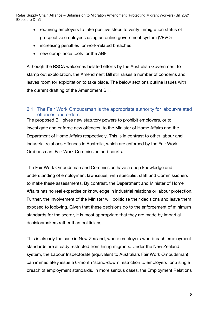- requiring employers to take positive steps to verify immigration status of prospective employees using an online government system (VEVO)
- increasing penalties for work-related breaches
- new compliance tools for the ABF

Although the RSCA welcomes belated efforts by the Australian Government to stamp out exploitation, the Amendment Bill still raises a number of concerns and leaves room for exploitation to take place. The below sections outline issues with the current drafting of the Amendment Bill.

## 2.1 The Fair Work Ombudsman is the appropriate authority for labour-related offences and orders

The proposed Bill gives new statutory powers to prohibit employers, or to investigate and enforce new offences, to the Minister of Home Affairs and the Department of Home Affairs respectively. This is in contrast to other labour and industrial relations offences in Australia, which are enforced by the Fair Work Ombudsman, Fair Work Commission and courts.

The Fair Work Ombudsman and Commission have a deep knowledge and understanding of employment law issues, with specialist staff and Commissioners to make these assessments. By contrast, the Department and Minister of Home Affairs has no real expertise or knowledge in industrial relations or labour protection. Further, the involvement of the Minister will politicise their decisions and leave them exposed to lobbying. Given that these decisions go to the enforcement of minimum standards for the sector, it is most appropriate that they are made by impartial decisionmakers rather than politicians.

This is already the case in New Zealand, where employers who breach employment standards are already restricted from hiring migrants. Under the New Zealand system, the Labour Inspectorate (equivalent to Australia's Fair Work Ombudsman) can immediately issue a 6-month 'stand-down' restriction to employers for a single breach of employment standards. In more serious cases, the Employment Relations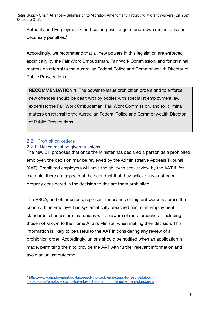Authority and Employment Court can impose longer stand-down restrictions and pecuniary penalties.<sup>2</sup>

Accordingly, we recommend that all new powers in this legislation are enforced apolitically by the Fair Work Ombudsman, Fair Work Commission, and for criminal matters on referral to the Australian Federal Police and Commonwealth Director of Public Prosecutions.

**RECOMMENDATION 1:** The power to issue prohibition orders and to enforce new offences should be dealt with by bodies with specialist employment law expertise: the Fair Work Ombudsman, Fair Work Commission, and for criminal matters on referral to the Australian Federal Police and Commonwealth Director of Public Prosecutions.

#### 2.2 Prohibition orders 2.2.1 Notice must be given to unions

The new Bill proposes that once the Minister has declared a person as a prohibited employer, the decision may be reviewed by the Administrative Appeals Tribunal (AAT). Prohibited employers will have the ability to seek review by the AAT if, for example, there are aspects of their conduct that they believe have not been properly considered in the decision to declare them prohibited.

The RSCA, and other unions, represent thousands of migrant workers across the country. If an employer has systematically breached minimum employment standards, chances are that unions will be aware of more breaches – including those not known to the Home Affairs Minister when making their decision. This information is likely to be useful to the AAT in considering any review of a prohibition order. Accordingly, unions should be notified when an application is made, permitting them to provide the AAT with further relevant information and avoid an unjust outcome.

<sup>2</sup> https://www.employment.govt.nz/resolving-problems/steps-to-resolve/labourinspectorate/employers-who-have-breached-minimum-employment-standards/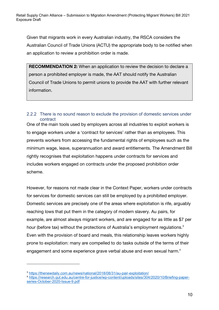Given that migrants work in every Australian industry, the RSCA considers the Australian Council of Trade Unions (ACTU) the appropriate body to be notified when an application to review a prohibition order is made.

**RECOMMENDATION 2:** When an application to review the decision to declare a person a prohibited employer is made, the AAT should notify the Australian Council of Trade Unions to permit unions to provide the AAT with further relevant information.

## 2.2.2 There is no sound reason to exclude the provision of domestic services under contract

One of the main tools used by employers across all industries to exploit workers is to engage workers under a 'contract for services' rather than as employees. This prevents workers from accessing the fundamental rights of employees such as the minimum wage, leave, superannuation and award entitlements. The Amendment Bill rightly recognises that exploitation happens under contracts for services and includes workers engaged on contracts under the proposed prohibition order scheme.

However, for reasons not made clear in the Context Paper, workers under contracts for services for domestic services can still be employed by a prohibited employer. Domestic services are precisely one of the areas where exploitation is rife, arguably reaching lows that put them in the category of modern slavery. Au pairs, for example, are almost always migrant workers, and are engaged for as little as \$7 per hour (before tax) without the protections of Australia's employment regulations.<sup>3</sup> Even with the provision of board and meals, this relationship leaves workers highly prone to exploitation: many are compelled to do tasks outside of the terms of their engagement and some experience grave verbal abuse and even sexual harm.<sup>4</sup>

<sup>3</sup> https://thenewdaily.com.au/news/national/2018/08/31/au-pair-exploitation/

<sup>4</sup> https://research.qut.edu.au/centre-for-justice/wp-content/uploads/sites/304/2020/10/Briefing-paperseries-October-2020-Issue-9.pdf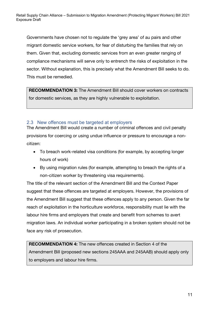Governments have chosen not to regulate the 'grey area' of au pairs and other migrant domestic service workers, for fear of disturbing the families that rely on them. Given that, excluding domestic services from an even greater ranging of compliance mechanisms will serve only to entrench the risks of exploitation in the sector. Without explanation, this is precisely what the Amendment Bill seeks to do. This must be remedied.

**RECOMMENDATION 3:** The Amendment Bill should cover workers on contracts for domestic services, as they are highly vulnerable to exploitation.

#### 2.3 New offences must be targeted at employers

The Amendment Bill would create a number of criminal offences and civil penalty provisions for coercing or using undue influence or pressure to encourage a noncitizen:

- To breach work-related visa conditions (for example, by accepting longer hours of work)
- By using migration rules (for example, attempting to breach the rights of a non-citizen worker by threatening visa requirements).

The title of the relevant section of the Amendment Bill and the Context Paper suggest that these offences are targeted at employers. However, the provisions of the Amendment Bill suggest that these offences apply to any person. Given the far reach of exploitation in the horticulture workforce, responsibility must lie with the labour hire firms and employers that create and benefit from schemes to avert migration laws. An individual worker participating in a broken system should not be face any risk of prosecution.

**RECOMMENDATION 4:** The new offences created in Section 4 of the Amendment Bill (proposed new sections 245AAA and 245AAB) should apply only to employers and labour hire firms.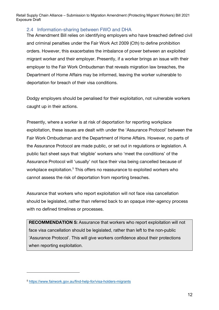## 2.4 Information-sharing between FWO and DHA

The Amendment Bill relies on identifying employers who have breached defined civil and criminal penalties under the Fair Work Act 2009 (Cth) to define prohibition orders. However, this exacerbates the imbalance of power between an exploited migrant worker and their employer. Presently, if a worker brings an issue with their employer to the Fair Work Ombudsman that reveals migration law breaches, the Department of Home Affairs may be informed, leaving the worker vulnerable to deportation for breach of their visa conditions.

Dodgy employers should be penalised for their exploitation, not vulnerable workers caught up in their actions.

Presently, where a worker is at risk of deportation for reporting workplace exploitation, these issues are dealt with under the 'Assurance Protocol' between the Fair Work Ombudsman and the Department of Home Affairs. However, no parts of the Assurance Protocol are made public, or set out in regulations or legislation. A public fact sheet says that 'eligible' workers who 'meet the conditions' of the Assurance Protocol will 'usually' not face their visa being cancelled because of workplace exploitation.<sup>5</sup> This offers no reassurance to exploited workers who cannot assess the risk of deportation from reporting breaches.

Assurance that workers who report exploitation will not face visa cancellation should be legislated, rather than referred back to an opaque inter-agency process with no defined timelines or processes.

**RECOMMENDATION 5:** Assurance that workers who report exploitation will not face visa cancellation should be legislated, rather than left to the non-public 'Assurance Protocol'. This will give workers confidence about their protections when reporting exploitation.

<sup>5</sup> https://www.fairwork.gov.au/find-help-for/visa-holders-migrants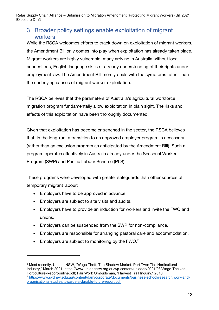# 3 Broader policy settings enable exploitation of migrant workers

While the RSCA welcomes efforts to crack down on exploitation of migrant workers, the Amendment Bill only comes into play when exploitation has already taken place. Migrant workers are highly vulnerable, many arriving in Australia without local connections, English language skills or a ready understanding of their rights under employment law. The Amendment Bill merely deals with the symptoms rather than the underlying causes of migrant worker exploitation.

The RSCA believes that the parameters of Australia's agricultural workforce migration program fundamentally allow exploitation in plain sight. The risks and effects of this exploitation have been thoroughly documented.<sup>6</sup>

Given that exploitation has become entrenched in the sector, the RSCA believes that, in the long-run, a transition to an approved employer program is necessary (rather than an exclusion program as anticipated by the Amendment Bill). Such a program operates effectively in Australia already under the Seasonal Worker Program (SWP) and Pacific Labour Scheme (PLS).

These programs were developed with greater safeguards than other sources of temporary migrant labour:

- Employers have to be approved in advance.
- Employers are subject to site visits and audits.
- Employers have to provide an induction for workers and invite the FWO and unions.
- Employers can be suspended from the SWP for non-compliance.
- Employers are responsible for arranging pastoral care and accommodation.
- Employers are subject to monitoring by the  $FWO.<sup>7</sup>$

<sup>6</sup> Most recently, Unions NSW, "Wage Theft, The Shadow Market. Part Two: The Horticultural Industry," March 2021, https://www.unionsnsw.org.au/wp-content/uploads/2021/03/Wage-Theives-Horticulture-Report-online.pdf; Fair Work Ombudsman, "Harvest Trail Inquiry," 2018.

<sup>7</sup> https://www.sydney.edu.au/content/dam/corporate/documents/business-school/research/work-andorganisational-studies/towards-a-durable-future-report.pdf